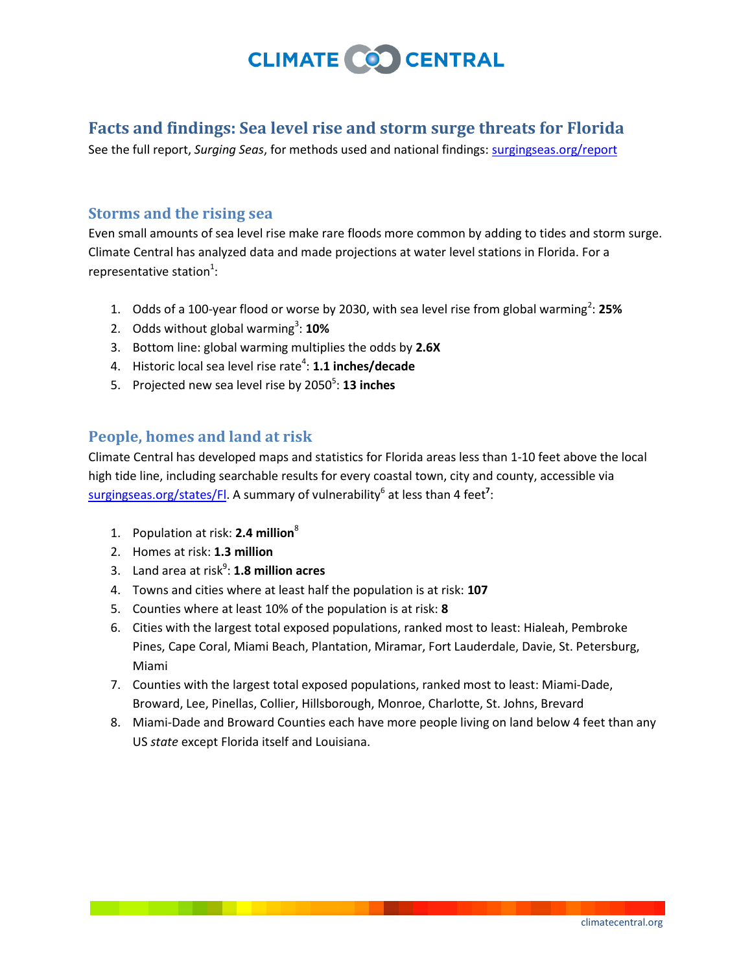

## **Facts and findings: Sea level rise and storm surge threats for Florida**

See the full report, *Surging Seas*, for methods used and national findings[: surgingseas.org/report](http://surgingseas.org/report)

#### **Storms and the rising sea**

Even small amounts of sea level rise make rare floods more common by adding to tides and storm surge. Climate Central has analyzed data and made projections at water level stations in Florida. For a representative station<sup>1</sup>:

- 1. Odds of a 100-year flood or worse by 2030, with sea level rise from global warming<sup>2</sup>: 25%
- 2. Odds without global warming<sup>3</sup>: 10%
- 3. Bottom line: global warming multiplies the odds by **2.6X**
- 4. Historic local sea level rise rate<sup>4</sup>: **1.1 inches/decade**
- 5. Projected new sea level rise by 2050<sup>5</sup>: **13 inches**

### **People, homes and land at risk**

Climate Central has developed maps and statistics for Florida areas less than 1-10 feet above the local high tide line, including searchable results for every coastal town, city and county, accessible via surgingseas.org/states/Fl</u>. A summary of vulnerability<sup>6</sup> at less than 4 feet<sup>7</sup>:

- 1. Population at risk: **2.4 million**<sup>8</sup>
- 2. Homes at risk: **1.3 million**
- 3. Land area at risk<sup>9</sup>: **1.8 million acres**
- 4. Towns and cities where at least half the population is at risk: **107**
- 5. Counties where at least 10% of the population is at risk: **8**
- 6. Cities with the largest total exposed populations, ranked most to least: Hialeah, Pembroke Pines, Cape Coral, Miami Beach, Plantation, Miramar, Fort Lauderdale, Davie, St. Petersburg, Miami
- 7. Counties with the largest total exposed populations, ranked most to least: Miami-Dade, Broward, Lee, Pinellas, Collier, Hillsborough, Monroe, Charlotte, St. Johns, Brevard
- 8. Miami-Dade and Broward Counties each have more people living on land below 4 feet than any US *state* except Florida itself and Louisiana.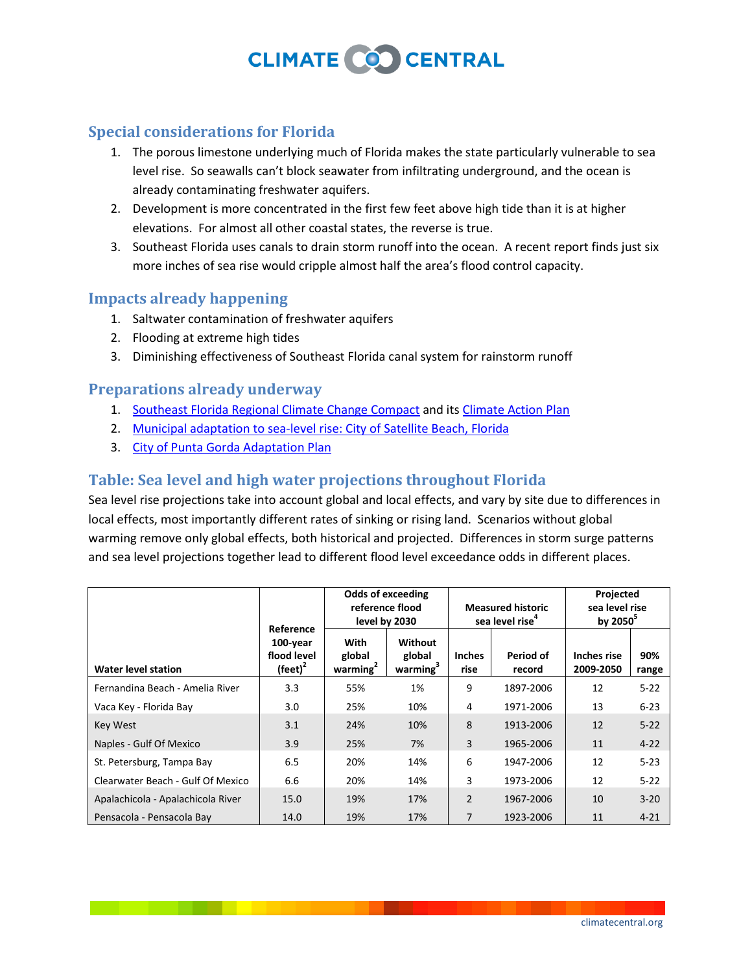# **CLIMATE COO CENTRAL**

## **Special considerations for Florida**

- 1. The porous limestone underlying much of Florida makes the state particularly vulnerable to sea level rise. So seawalls can't block seawater from infiltrating underground, and the ocean is already contaminating freshwater aquifers.
- 2. Development is more concentrated in the first few feet above high tide than it is at higher elevations. For almost all other coastal states, the reverse is true.
- 3. Southeast Florida uses canals to drain storm runoff into the ocean. A recent report finds just six more inches of sea rise would cripple almost half the area's flood control capacity.

### **Impacts already happening**

- 1. Saltwater contamination of freshwater aquifers
- 2. Flooding at extreme high tides
- 3. Diminishing effectiveness of Southeast Florida canal system for rainstorm runoff

### **Preparations already underway**

- 1. [Southeast Florida Regional Climate Change Compact](http://www.southeastfloridaclimatecompact.org/) and it[s Climate Action Plan](http://www.southeastfloridaclimatecompact.org/index_files/Page648.htm)
- 2. [Municipal adaptation to sea-level rise: City of Satellite Beach, Florida](http://spacecoastclimatechange.com/documents/100730_CSB_CRE_Final_Report.pdf)
- 3. [City of Punta Gorda Adaptation Plan](http://www.chnep.org/projects/climate/PuntaGordaAdaptationPlan.pdf)

## **Table: Sea level and high water projections throughout Florida**

Sea level rise projections take into account global and local effects, and vary by site due to differences in local effects, most importantly different rates of sinking or rising land. Scenarios without global warming remove only global effects, both historical and projected. Differences in storm surge patterns and sea level projections together lead to different flood level exceedance odds in different places.

|                                   | Reference                                    | <b>Odds of exceeding</b><br>reference flood<br>level by 2030 |                                           | <b>Measured historic</b><br>sea level rise <sup>4</sup> |                     | Projected<br>sea level rise<br>by $2050^5$ |              |
|-----------------------------------|----------------------------------------------|--------------------------------------------------------------|-------------------------------------------|---------------------------------------------------------|---------------------|--------------------------------------------|--------------|
| <b>Water level station</b>        | 100-year<br>flood level<br>$(\text{feet})^2$ | With<br>global<br>warming $2$                                | Without<br>global<br>warming <sup>3</sup> | <b>Inches</b><br>rise                                   | Period of<br>record | <b>Inches rise</b><br>2009-2050            | 90%<br>range |
| Fernandina Beach - Amelia River   | 3.3                                          | 55%                                                          | 1%                                        | 9                                                       | 1897-2006           | 12                                         | $5 - 22$     |
| Vaca Key - Florida Bay            | 3.0                                          | 25%                                                          | 10%                                       | 4                                                       | 1971-2006           | 13                                         | $6 - 23$     |
| Key West                          | 3.1                                          | 24%                                                          | 10%                                       | 8                                                       | 1913-2006           | 12                                         | $5 - 22$     |
| Naples - Gulf Of Mexico           | 3.9                                          | 25%                                                          | 7%                                        | 3                                                       | 1965-2006           | 11                                         | $4 - 22$     |
| St. Petersburg, Tampa Bay         | 6.5                                          | 20%                                                          | 14%                                       | 6                                                       | 1947-2006           | 12                                         | $5 - 23$     |
| Clearwater Beach - Gulf Of Mexico | 6.6                                          | 20%                                                          | 14%                                       | 3                                                       | 1973-2006           | 12                                         | $5 - 22$     |
| Apalachicola - Apalachicola River | 15.0                                         | 19%                                                          | 17%                                       | $\overline{2}$                                          | 1967-2006           | 10                                         | $3 - 20$     |
| Pensacola - Pensacola Bay         | 14.0                                         | 19%                                                          | 17%                                       | 7                                                       | 1923-2006           | 11                                         | $4 - 21$     |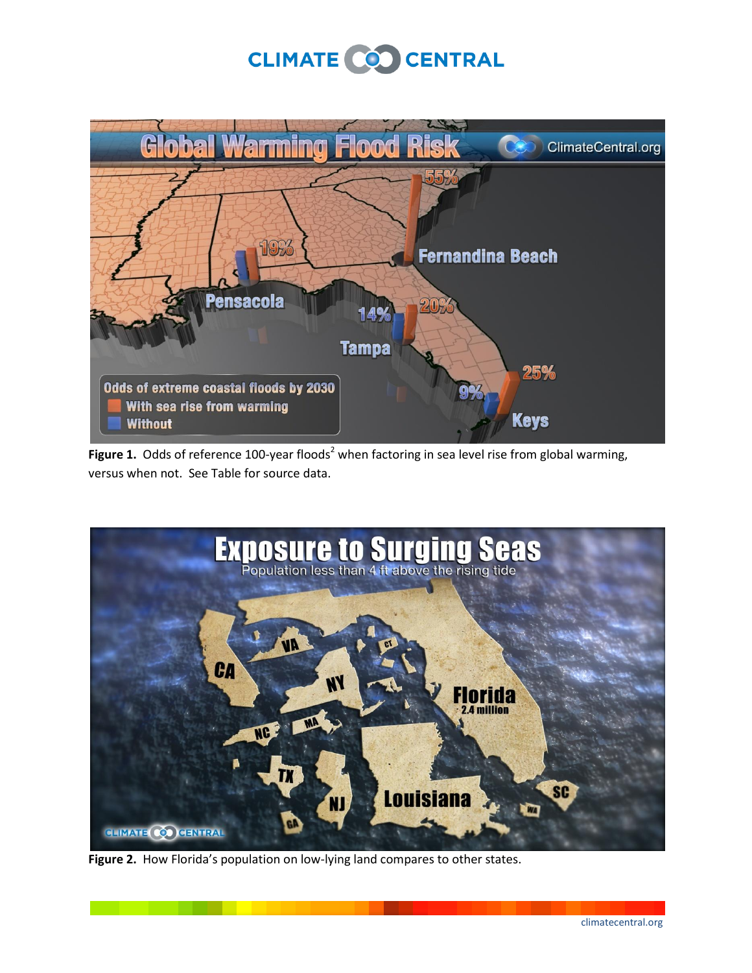# CLIMATE CO CENTRAL



Figure 1. Odds of reference 100-year floods<sup>2</sup> when factoring in sea level rise from global warming, versus when not. See Table for source data.



**Figure 2.** How Florida's population on low-lying land compares to other states.